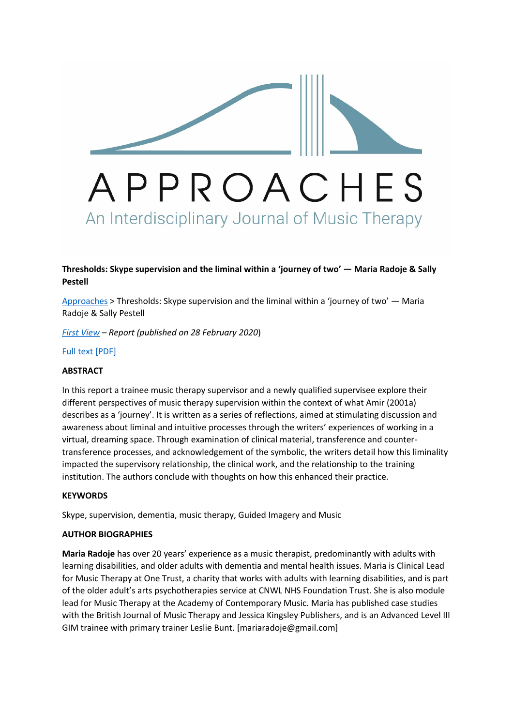

## **Thresholds: Skype supervision and the liminal within a 'journey of two' — Maria Radoje & Sally Pestell**

Approaches > Thresholds: Skype supervision and the liminal within a 'journey of two' — Maria Radoje & Sally Pestell

*First View – Report (published on 28 February 2020*)

Full text [PDF]

## **ABSTRACT**

In this report a trainee music therapy supervisor and a newly qualified supervisee explore their different perspectives of music therapy supervision within the context of what Amir (2001a) describes as a 'journey'. It is written as a series of reflections, aimed at stimulating discussion and awareness about liminal and intuitive processes through the writers' experiences of working in a virtual, dreaming space. Through examination of clinical material, transference and countertransference processes, and acknowledgement of the symbolic, the writers detail how this liminality impacted the supervisory relationship, the clinical work, and the relationship to the training institution. The authors conclude with thoughts on how this enhanced their practice.

## **KEYWORDS**

Skype, supervision, dementia, music therapy, Guided Imagery and Music

## **AUTHOR BIOGRAPHIES**

**Maria Radoje** has over 20 years' experience as a music therapist, predominantly with adults with learning disabilities, and older adults with dementia and mental health issues. Maria is Clinical Lead for Music Therapy at One Trust, a charity that works with adults with learning disabilities, and is part of the older adult's arts psychotherapies service at CNWL NHS Foundation Trust. She is also module lead for Music Therapy at the Academy of Contemporary Music. Maria has published case studies with the British Journal of Music Therapy and Jessica Kingsley Publishers, and is an Advanced Level III GIM trainee with primary trainer Leslie Bunt. [mariaradoje@gmail.com]